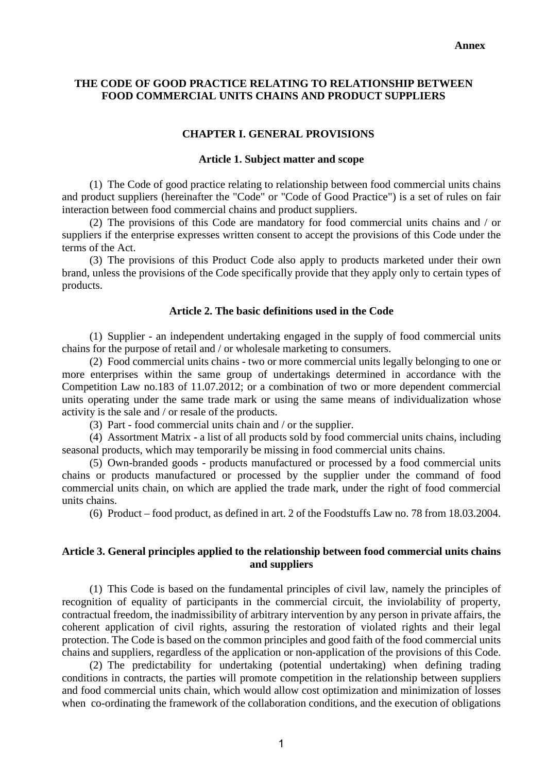# **THE CODE OF GOOD PRACTICE RELATING TO RELATIONSHIP BETWEEN FOOD COMMERCIAL UNITS CHAINS AND PRODUCT SUPPLIERS**

### **CHAPTER I. GENERAL PROVISIONS**

### **Article 1. Subject matter and scope**

(1) The Code of good practice relating to relationship between food commercial units chains and product suppliers (hereinafter the "Code" or "Code of Good Practice") is a set of rules on fair interaction between food commercial chains and product suppliers.

(2) The provisions of this Code are mandatory for food commercial units chains and / or suppliers if the enterprise expresses written consent to accept the provisions of this Code under the terms of the Act.

(3) The provisions of this Product Code also apply to products marketed under their own brand, unless the provisions of the Code specifically provide that they apply only to certain types of products.

### **Article 2. The basic definitions used in the Code**

(1) Supplier - an independent undertaking engaged in the supply of food commercial units chains for the purpose of retail and / or wholesale marketing to consumers.

(2) Food commercial units chains - two or more commercial units legally belonging to one or more enterprises within the same group of undertakings determined in accordance with the Competition Law no.183 of 11.07.2012; or a combination of two or more dependent commercial units operating under the same trade mark or using the same means of individualization whose activity is the sale and / or resale of the products.

(3) Part - food commercial units chain and / or the supplier.

(4) Assortment Matrix - a list of all products sold by food commercial units chains, including seasonal products, which may temporarily be missing in food commercial units chains.

(5) Own-branded goods - products manufactured or processed by a food commercial units chains or products manufactured or processed by the supplier under the command of food commercial units chain, on which are applied the trade mark, under the right of food commercial units chains.

(6) Product – food product, as defined in art. 2 of the Foodstuffs Law no. 78 from 18.03.2004.

### **Article 3. General principles applied to the relationship between food commercial units chains and suppliers**

(1) This Code is based on the fundamental principles of civil law, namely the principles of recognition of equality of participants in the commercial circuit, the inviolability of property, contractual freedom, the inadmissibility of arbitrary intervention by any person in private affairs, the coherent application of civil rights, assuring the restoration of violated rights and their legal protection. The Code is based on the common principles and good faith of the food commercial units chains and suppliers, regardless of the application or non-application of the provisions of this Code.

(2) The predictability for undertaking (potential undertaking) when defining trading conditions in contracts, the parties will promote competition in the relationship between suppliers and food commercial units chain, which would allow cost optimization and minimization of losses when co-ordinating the framework of the collaboration conditions, and the execution of obligations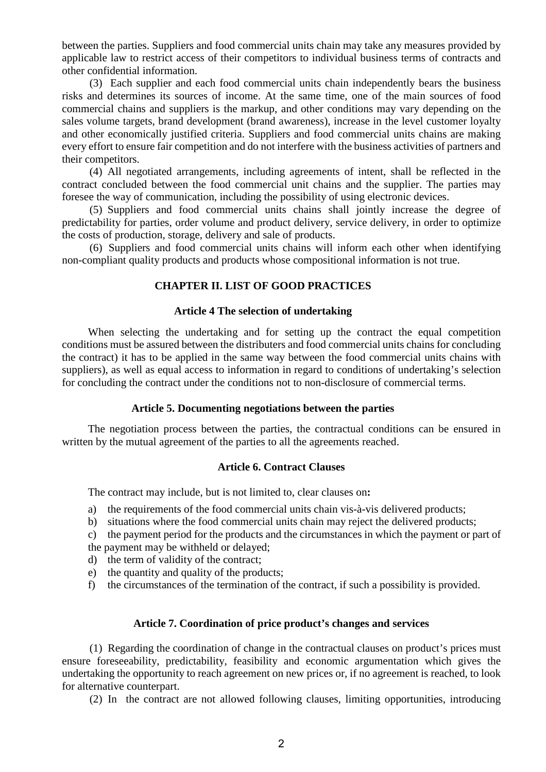between the parties. Suppliers and food commercial units chain may take any measures provided by applicable law to restrict access of their competitors to individual business terms of contracts and other confidential information.

(3) Each supplier and each food commercial units chain independently bears the business risks and determines its sources of income. At the same time, one of the main sources of food commercial chains and suppliers is the markup, and other conditions may vary depending on the sales volume targets, brand development (brand awareness), increase in the level customer loyalty and other economically justified criteria. Suppliers and food commercial units chains are making every effort to ensure fair competition and do not interfere with the business activities of partners and their competitors.

(4) All negotiated arrangements, including agreements of intent, shall be reflected in the contract concluded between the food commercial unit chains and the supplier. The parties may foresee the way of communication, including the possibility of using electronic devices.

(5) Suppliers and food commercial units chains shall jointly increase the degree of predictability for parties, order volume and product delivery, service delivery, in order to optimize the costs of production, storage, delivery and sale of products.

(6) Suppliers and food commercial units chains will inform each other when identifying non-compliant quality products and products whose compositional information is not true.

## **CHAPTER II. LIST OF GOOD PRACTICES**

### **Article 4 The selection of undertaking**

When selecting the undertaking and for setting up the contract the equal competition conditions must be assured between the distributers and food commercial units chains for concluding the contract) it has to be applied in the same way between the food commercial units chains with suppliers), as well as equal access to information in regard to conditions of undertaking's selection for concluding the contract under the conditions not to non-disclosure of commercial terms.

# **Article 5. Documenting negotiations between the parties**

The negotiation process between the parties, the contractual conditions can be ensured in written by the mutual agreement of the parties to all the agreements reached.

# **Article 6. Contract Clauses**

The contract may include, but is not limited to, clear clauses on**:**

- a) the requirements of the food commercial units chain vis-à-vis delivered products;
- b) situations where the food commercial units chain may reject the delivered products;
- c) the payment period for the products and the circumstances in which the payment or part of the payment may be withheld or delayed;
- d) the term of validity of the contract;
- e) the quantity and quality of the products;
- f) the circumstances of the termination of the contract, if such a possibility is provided.

## **Article 7. Coordination of price product's changes and services**

(1) Regarding the coordination of change in the contractual clauses on product's prices must ensure foreseeability, predictability, feasibility and economic argumentation which gives the undertaking the opportunity to reach agreement on new prices or, if no agreement is reached, to look for alternative counterpart.

(2) In the contract are not allowed following clauses, limiting opportunities, introducing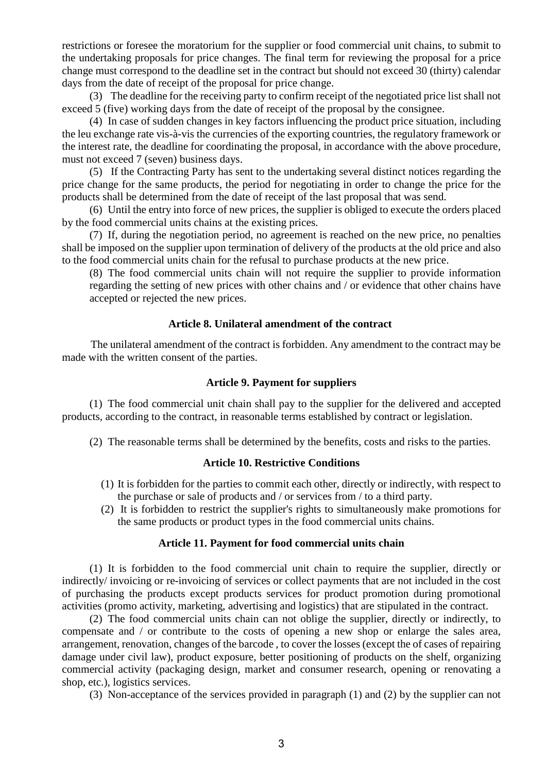restrictions or foresee the moratorium for the supplier or food commercial unit chains, to submit to the undertaking proposals for price changes. The final term for reviewing the proposal for a price change must correspond to the deadline set in the contract but should not exceed 30 (thirty) calendar days from the date of receipt of the proposal for price change.

(3) The deadline for the receiving party to confirm receipt of the negotiated price list shall not exceed 5 (five) working days from the date of receipt of the proposal by the consignee.

(4) In case of sudden changes in key factors influencing the product price situation, including the leu exchange rate vis-à-vis the currencies of the exporting countries, the regulatory framework or the interest rate, the deadline for coordinating the proposal, in accordance with the above procedure, must not exceed 7 (seven) business days.

(5) If the Contracting Party has sent to the undertaking several distinct notices regarding the price change for the same products, the period for negotiating in order to change the price for the products shall be determined from the date of receipt of the last proposal that was send.

(6) Until the entry into force of new prices, the supplier is obliged to execute the orders placed by the food commercial units chains at the existing prices.

(7) If, during the negotiation period, no agreement is reached on the new price, no penalties shall be imposed on the supplier upon termination of delivery of the products at the old price and also to the food commercial units chain for the refusal to purchase products at the new price.

(8) The food commercial units chain will not require the supplier to provide information regarding the setting of new prices with other chains and / or evidence that other chains have accepted or rejected the new prices.

### **Article 8. Unilateral amendment of the contract**

The unilateral amendment of the contract is forbidden. Any amendment to the contract may be made with the written consent of the parties.

### **Article 9. Payment for suppliers**

(1) The food commercial unit chain shall pay to the supplier for the delivered and accepted products, according to the contract, in reasonable terms established by contract or legislation.

(2) The reasonable terms shall be determined by the benefits, costs and risks to the parties.

### **Article 10. Restrictive Conditions**

- (1) It is forbidden for the parties to commit each other, directly or indirectly, with respect to the purchase or sale of products and / or services from / to a third party.
- (2) It is forbidden to restrict the supplier's rights to simultaneously make promotions for the same products or product types in the food commercial units chains.

## **Article 11. Payment for food commercial units chain**

(1) It is forbidden to the food commercial unit chain to require the supplier, directly or indirectly/ invoicing or re-invoicing of services or collect payments that are not included in the cost of purchasing the products except products services for product promotion during promotional activities (promo activity, marketing, advertising and logistics) that are stipulated in the contract.

(2) The food commercial units chain can not oblige the supplier, directly or indirectly, to compensate and / or contribute to the costs of opening a new shop or enlarge the sales area, arrangement, renovation, changes of the barcode , to cover the losses (except the of cases of repairing damage under civil law), product exposure, better positioning of products on the shelf, organizing commercial activity (packaging design, market and consumer research, opening or renovating a shop, etc.), logistics services.

(3) Non-acceptance of the services provided in paragraph (1) and (2) by the supplier can not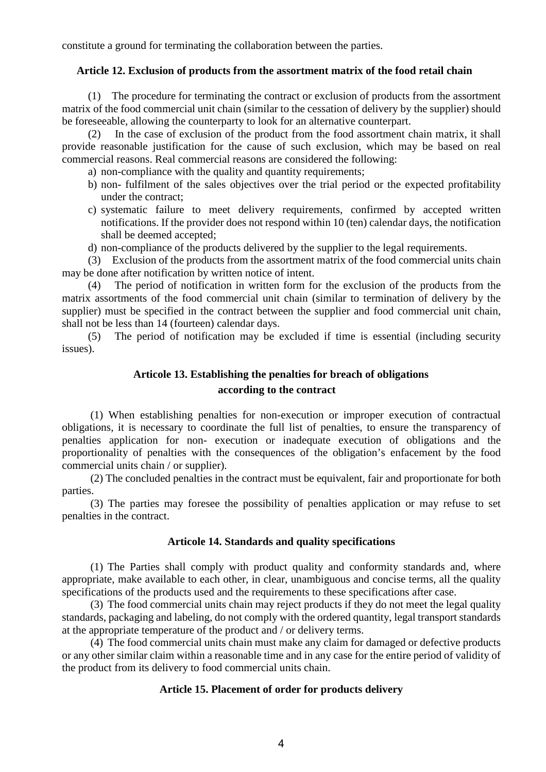constitute a ground for terminating the collaboration between the parties.

### **Article 12. Exclusion of products from the assortment matrix of the food retail chain**

(1) The procedure for terminating the contract or exclusion of products from the assortment matrix of the food commercial unit chain (similar to the cessation of delivery by the supplier) should be foreseeable, allowing the counterparty to look for an alternative counterpart.

(2) In the case of exclusion of the product from the food assortment chain matrix, it shall provide reasonable justification for the cause of such exclusion, which may be based on real commercial reasons. Real commercial reasons are considered the following:

- a) non-compliance with the quality and quantity requirements;
- b) non- fulfilment of the sales objectives over the trial period or the expected profitability under the contract;
- c) systematic failure to meet delivery requirements, confirmed by accepted written notifications. If the provider does not respond within 10 (ten) calendar days, the notification shall be deemed accepted;
- d) non-compliance of the products delivered by the supplier to the legal requirements.

(3) Exclusion of the products from the assortment matrix of the food commercial units chain may be done after notification by written notice of intent.

(4) The period of notification in written form for the exclusion of the products from the matrix assortments of the food commercial unit chain (similar to termination of delivery by the supplier) must be specified in the contract between the supplier and food commercial unit chain, shall not be less than 14 (fourteen) calendar days.

(5) The period of notification may be excluded if time is essential (including security issues).

# **Articole 13. Establishing the penalties for breach of obligations according to the contract**

(1) When establishing penalties for non-execution or improper execution of contractual obligations, it is necessary to coordinate the full list of penalties, to ensure the transparency of penalties application for non- execution or inadequate execution of obligations and the proportionality of penalties with the consequences of the obligation's enfacement by the food commercial units chain / or supplier).

(2) The concluded penalties in the contract must be equivalent, fair and proportionate for both parties.

(3) The parties may foresee the possibility of penalties application or may refuse to set penalties in the contract.

### **Articole 14. Standards and quality specifications**

(1) The Parties shall comply with product quality and conformity standards and, where appropriate, make available to each other, in clear, unambiguous and concise terms, all the quality specifications of the products used and the requirements to these specifications after case.

(3) The food commercial units chain may reject products if they do not meet the legal quality standards, packaging and labeling, do not comply with the ordered quantity, legal transport standards at the appropriate temperature of the product and / or delivery terms.

(4) The food commercial units chain must make any claim for damaged or defective products or any other similar claim within a reasonable time and in any case for the entire period of validity of the product from its delivery to food commercial units chain.

## **Article 15. Placement of order for products delivery**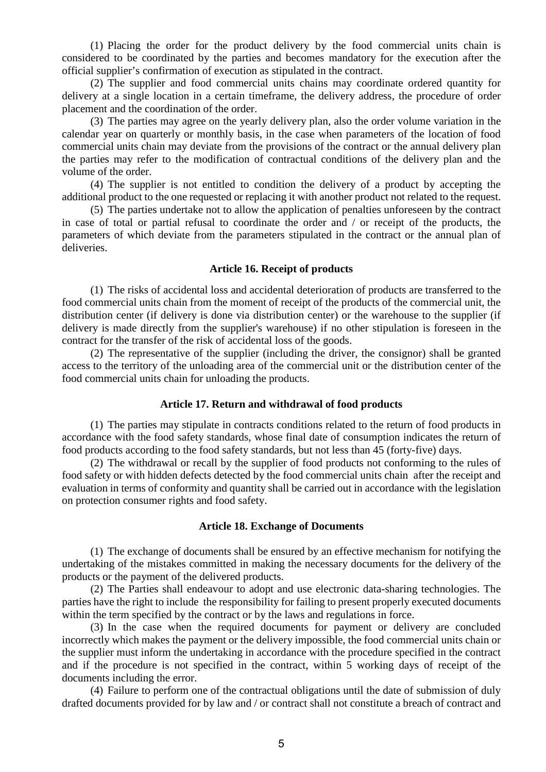(1) Placing the order for the product delivery by the food commercial units chain is considered to be coordinated by the parties and becomes mandatory for the execution after the official supplier's confirmation of execution as stipulated in the contract.

(2) The supplier and food commercial units chains may coordinate ordered quantity for delivery at a single location in a certain timeframe, the delivery address, the procedure of order placement and the coordination of the order.

(3) The parties may agree on the yearly delivery plan, also the order volume variation in the calendar year on quarterly or monthly basis, in the case when parameters of the location of food commercial units chain may deviate from the provisions of the contract or the annual delivery plan the parties may refer to the modification of contractual conditions of the delivery plan and the volume of the order.

(4) The supplier is not entitled to condition the delivery of a product by accepting the additional product to the one requested or replacing it with another product not related to the request.

(5) The parties undertake not to allow the application of penalties unforeseen by the contract in case of total or partial refusal to coordinate the order and / or receipt of the products, the parameters of which deviate from the parameters stipulated in the contract or the annual plan of deliveries.

### **Article 16. Receipt of products**

(1) The risks of accidental loss and accidental deterioration of products are transferred to the food commercial units chain from the moment of receipt of the products of the commercial unit, the distribution center (if delivery is done via distribution center) or the warehouse to the supplier (if delivery is made directly from the supplier's warehouse) if no other stipulation is foreseen in the contract for the transfer of the risk of accidental loss of the goods.

(2) The representative of the supplier (including the driver, the consignor) shall be granted access to the territory of the unloading area of the commercial unit or the distribution center of the food commercial units chain for unloading the products.

### **Article 17. Return and withdrawal of food products**

(1) The parties may stipulate in contracts conditions related to the return of food products in accordance with the food safety standards, whose final date of consumption indicates the return of food products according to the food safety standards, but not less than 45 (forty-five) days.

(2) The withdrawal or recall by the supplier of food products not conforming to the rules of food safety or with hidden defects detected by the food commercial units chain after the receipt and evaluation in terms of conformity and quantity shall be carried out in accordance with the legislation on protection consumer rights and food safety.

### **Article 18. Exchange of Documents**

(1) The exchange of documents shall be ensured by an effective mechanism for notifying the undertaking of the mistakes committed in making the necessary documents for the delivery of the products or the payment of the delivered products.

(2) The Parties shall endeavour to adopt and use electronic data-sharing technologies. The parties have the right to include the responsibility for failing to present properly executed documents within the term specified by the contract or by the laws and regulations in force.

(3) In the case when the required documents for payment or delivery are concluded incorrectly which makes the payment or the delivery impossible, the food commercial units chain or the supplier must inform the undertaking in accordance with the procedure specified in the contract and if the procedure is not specified in the contract, within 5 working days of receipt of the documents including the error.

(4) Failure to perform one of the contractual obligations until the date of submission of duly drafted documents provided for by law and / or contract shall not constitute a breach of contract and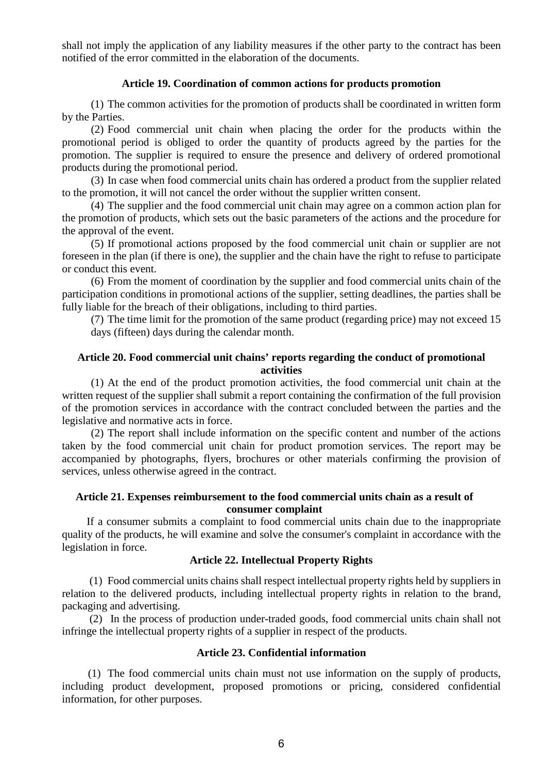shall not imply the application of any liability measures if the other party to the contract has been notified of the error committed in the elaboration of the documents.

### **Article 19. Coordination of common actions for products promotion**

(1) The common activities for the promotion of products shall be coordinated in written form by the Parties.

(2) Food commercial unit chain when placing the order for the products within the promotional period is obliged to order the quantity of products agreed by the parties for the promotion. The supplier is required to ensure the presence and delivery of ordered promotional products during the promotional period.

(3) In case when food commercial units chain has ordered a product from the supplier related to the promotion, it will not cancel the order without the supplier written consent.

(4) The supplier and the food commercial unit chain may agree on a common action plan for the promotion of products, which sets out the basic parameters of the actions and the procedure for the approval of the event.

(5) If promotional actions proposed by the food commercial unit chain or supplier are not foreseen in the plan (if there is one), the supplier and the chain have the right to refuse to participate or conduct this event.

(6) From the moment of coordination by the supplier and food commercial units chain of the participation conditions in promotional actions of the supplier, setting deadlines, the parties shall be fully liable for the breach of their obligations, including to third parties.

(7) The time limit for the promotion of the same product (regarding price) may not exceed 15 days (fifteen) days during the calendar month.

# **Article 20. Food commercial unit chains' reports regarding the conduct of promotional activities**

(1) At the end of the product promotion activities, the food commercial unit chain at the written request of the supplier shall submit a report containing the confirmation of the full provision of the promotion services in accordance with the contract concluded between the parties and the legislative and normative acts in force.

(2) The report shall include information on the specific content and number of the actions taken by the food commercial unit chain for product promotion services. The report may be accompanied by photographs, flyers, brochures or other materials confirming the provision of services, unless otherwise agreed in the contract.

# **Article 21. Expenses reimbursement to the food commercial units chain as a result of consumer complaint**

If a consumer submits a complaint to food commercial units chain due to the inappropriate quality of the products, he will examine and solve the consumer's complaint in accordance with the legislation in force.

# **Article 22. Intellectual Property Rights**

(1) Food commercial units chains shall respect intellectual property rights held by suppliers in relation to the delivered products, including intellectual property rights in relation to the brand, packaging and advertising.

(2) In the process of production under-traded goods, food commercial units chain shall not infringe the intellectual property rights of a supplier in respect of the products.

## **Article 23. Confidential information**

(1) The food commercial units chain must not use information on the supply of products, including product development, proposed promotions or pricing, considered confidential information, for other purposes.